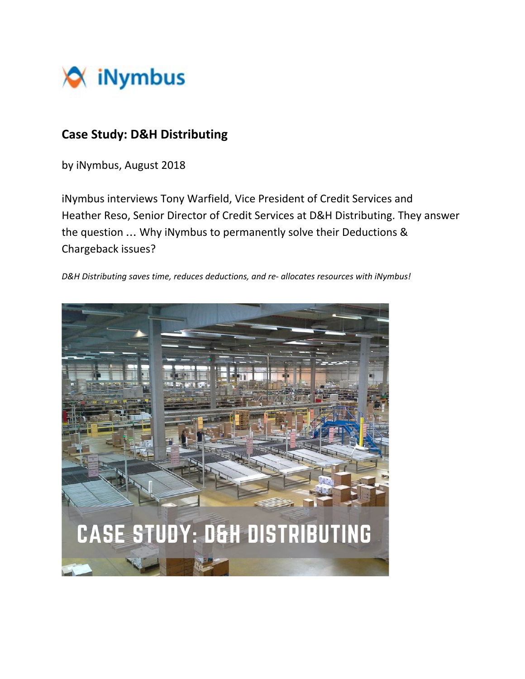

# **Case Study: D&H Distributing**

by iNymbus, August 2018

iNymbus interviews Tony Warfield, Vice President of Credit Services and Heather Reso, Senior Director of Credit Services at D&H Distributing. They answer the question … Why iNymbus to permanently solve their Deductions & Chargeback issues?

*D&H Distributing saves time, reduces deductions, and re- allocates resources with iNymbus!*

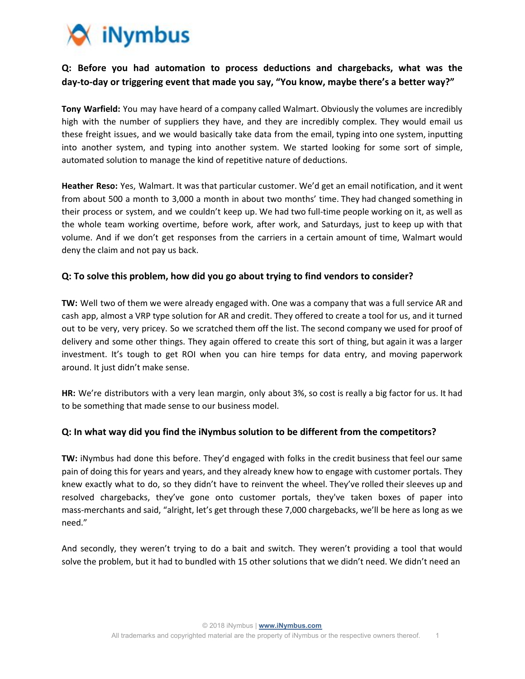

# **Q: Before you had automation to process deductions and chargebacks, what was the day-to-day or triggering event that made you say, "You know, maybe there's a better way?"**

**Tony Warfield:** You may have heard of a company called Walmart. Obviously the volumes are incredibly high with the number of suppliers they have, and they are incredibly complex. They would email us these freight issues, and we would basically take data from the email, typing into one system, inputting into another system, and typing into another system. We started looking for some sort of simple, automated solution to manage the kind of repetitive nature of deductions.

**Heather Reso:** Yes, Walmart. It was that particular customer. We'd get an email notification, and it went from about 500 a month to 3,000 a month in about two months' time. They had changed something in their process or system, and we couldn't keep up. We had two full-time people working on it, as well as the whole team working overtime, before work, after work, and Saturdays, just to keep up with that volume. And if we don't get responses from the carriers in a certain amount of time, Walmart would deny the claim and not pay us back.

## **Q: To solve this problem, how did you go about trying to find vendors to consider?**

**TW:** Well two of them we were already engaged with. One was a company that was a full service AR and cash app, almost a VRP type solution for AR and credit. They offered to create a tool for us, and it turned out to be very, very pricey. So we scratched them off the list. The second company we used for proof of delivery and some other things. They again offered to create this sort of thing, but again it was a larger investment. It's tough to get ROI when you can hire temps for data entry, and moving paperwork around. It just didn't make sense.

**HR:** We're distributors with a very lean margin, only about 3%, so cost is really a big factor for us. It had to be something that made sense to our business model.

#### **Q: In what way did you find the iNymbus solution to be different from the competitors?**

**TW:** iNymbus had done this before. They'd engaged with folks in the credit business that feel our same pain of doing this for years and years, and they already knew how to engage with customer portals. They knew exactly what to do, so they didn't have to reinvent the wheel. They've rolled their sleeves up and resolved chargebacks, they've gone onto customer portals, they've taken boxes of paper into mass-merchants and said, "alright, let's get through these 7,000 chargebacks, we'll be here as long as we need."

And secondly, they weren't trying to do a bait and switch. They weren't providing a tool that would solve the problem, but it had to bundled with 15 other solutions that we didn't need. We didn't need an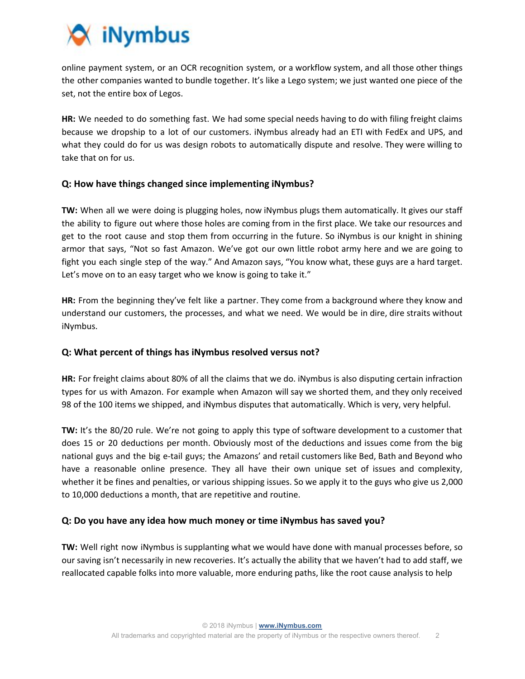

online payment system, or an OCR recognition system, or a workflow system, and all those other things the other companies wanted to bundle together. It's like a Lego system; we just wanted one piece of the set, not the entire box of Legos.

**HR:** We needed to do something fast. We had some special needs having to do with filing freight claims because we dropship to a lot of our customers. iNymbus already had an ETI with FedEx and UPS, and what they could do for us was design robots to automatically dispute and resolve. They were willing to take that on for us.

## **Q: How have things changed since implementing iNymbus?**

**TW:** When all we were doing is plugging holes, now iNymbus plugs them automatically. It gives our staff the ability to figure out where those holes are coming from in the first place. We take our resources and get to the root cause and stop them from occurring in the future. So iNymbus is our knight in shining armor that says, "Not so fast Amazon. We've got our own little robot army here and we are going to fight you each single step of the way." And Amazon says, "You know what, these guys are a hard target. Let's move on to an easy target who we know is going to take it."

**HR:** From the beginning they've felt like a partner. They come from a background where they know and understand our customers, the processes, and what we need. We would be in dire, dire straits without iNymbus.

#### **Q: What percent of things has iNymbus resolved versus not?**

**HR:** For freight claims about 80% of all the claims that we do. iNymbus is also disputing certain infraction types for us with Amazon. For example when Amazon will say we shorted them, and they only received 98 of the 100 items we shipped, and iNymbus disputes that automatically. Which is very, very helpful.

TW: It's the 80/20 rule. We're not going to apply this type of software development to a customer that does 15 or 20 deductions per month. Obviously most of the deductions and issues come from the big national guys and the big e-tail guys; the Amazons' and retail customers like Bed, Bath and Beyond who have a reasonable online presence. They all have their own unique set of issues and complexity, whether it be fines and penalties, or various shipping issues. So we apply it to the guys who give us 2,000 to 10,000 deductions a month, that are repetitive and routine.

## **Q: Do you have any idea how much money or time iNymbus has saved you?**

**TW:** Well right now iNymbus is supplanting what we would have done with manual processes before, so our saving isn't necessarily in new recoveries. It's actually the ability that we haven't had to add staff, we reallocated capable folks into more valuable, more enduring paths, like the root cause analysis to help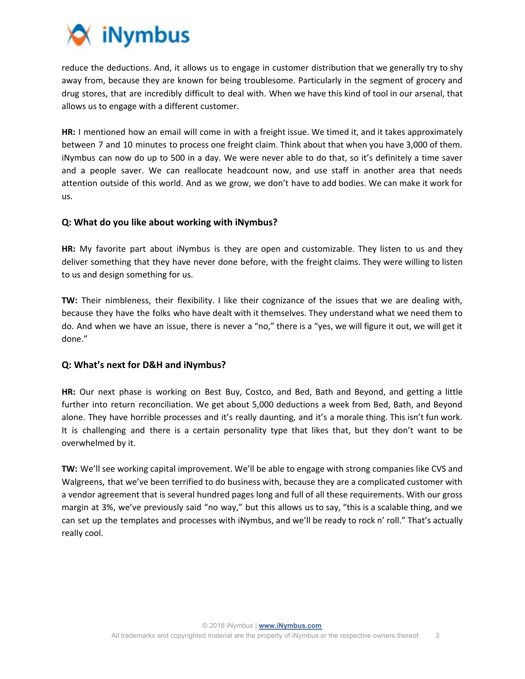

reduce the deductions. And, it allows us to engage in customer distribution that we generally try to shy away from, because they are known for being troublesome. Particularly in the segment of grocery and drug stores, that are incredibly difficult to deal with. When we have this kind of tool in our arsenal, that allows us to engage with a different customer.

**HR:** I mentioned how an email will come in with a freight issue. We timed it, and it takes approximately between 7 and 10 minutes to process one freight claim. Think about that when you have 3,000 of them. iNymbus can now do up to 500 in a day. We were never able to do that, so it's definitely a time saver and a people saver. We can reallocate headcount now, and use staff in another area that needs attention outside of this world. And as we grow, we don't have to add bodies. We can make it work for us.

#### **Q: What do you like about working with iNymbus?**

**HR:** My favorite part about iNymbus is they are open and customizable. They listen to us and they deliver something that they have never done before, with the freight claims. They were willing to listen to us and design something for us.

**TW:** Their nimbleness, their flexibility. I like their cognizance of the issues that we are dealing with, because they have the folks who have dealt with it themselves. They understand what we need them to do. And when we have an issue, there is never a "no," there is a "yes, we will figure it out, we will get it done."

#### **Q: What's next for D&H and iNymbus?**

**HR:** Our next phase is working on Best Buy, Costco, and Bed, Bath and Beyond, and getting a little further into return reconciliation. We get about 5,000 deductions a week from Bed, Bath, and Beyond alone. They have horrible processes and it's really daunting, and it's a morale thing. This isn't fun work. It is challenging and there is a certain personality type that likes that, but they don't want to be overwhelmed by it.

**TW:** We'll see working capital improvement. We'll be able to engage with strong companies like CVS and Walgreens, that we've been terrified to do business with, because they are a complicated customer with a vendor agreement that is several hundred pages long and full of all these requirements. With our gross margin at 3%, we've previously said "no way," but this allows us to say, "this is a scalable thing, and we can set up the templates and processes with iNymbus, and we'll be ready to rock n' roll." That's actually really cool.